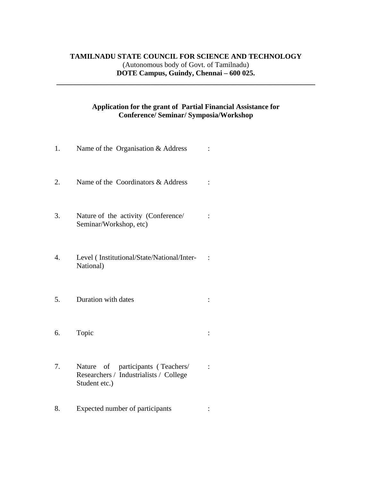## **TAMILNADU STATE COUNCIL FOR SCIENCE AND TECHNOLOGY**  (Autonomous body of Govt. of Tamilnadu) **DOTE Campus, Guindy, Chennai – 600 025.**

**\_\_\_\_\_\_\_\_\_\_\_\_\_\_\_\_\_\_\_\_\_\_\_\_\_\_\_\_\_\_\_\_\_\_\_\_\_\_\_\_\_\_\_\_\_\_\_\_\_\_\_\_\_\_\_\_\_\_\_\_\_\_\_\_\_\_\_\_\_\_\_** 

## **Application for the grant of Partial Financial Assistance for Conference/ Seminar/ Symposia/Workshop**

| 1.               | Name of the Organisation & Address                                                           |  |
|------------------|----------------------------------------------------------------------------------------------|--|
| 2.               | Name of the Coordinators & Address                                                           |  |
| 3.               | Nature of the activity (Conference/<br>Seminar/Workshop, etc)                                |  |
| $\overline{4}$ . | Level (Institutional/State/National/Inter-<br>National)                                      |  |
| 5.               | Duration with dates                                                                          |  |
| 6.               | Topic                                                                                        |  |
| 7.               | Nature of participants (Teachers/<br>Researchers / Industrialists / College<br>Student etc.) |  |
| 8.               | Expected number of participants                                                              |  |